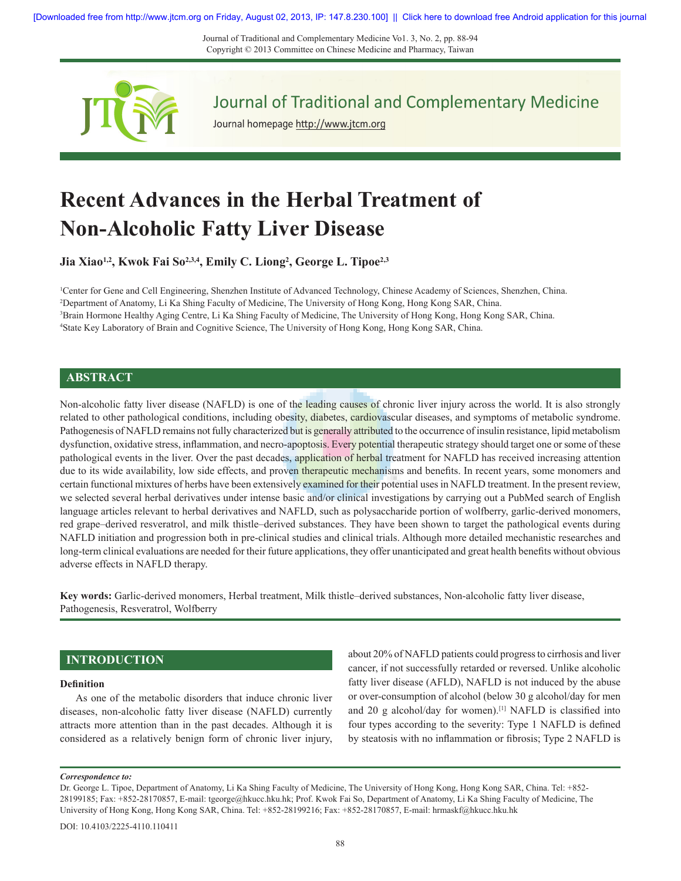Journal of Traditional and Complementary Medicine Vo1. 3, No. 2, pp. 88‑94 Copyright © 2013 Committee on Chinese Medicine and Pharmacy, Taiwan



Journal of Traditional and Complementary Medicine

Journal homepage http://www.jtcm.org

# **Recent Advances in the Herbal Treatment of Non‑Alcoholic Fatty Liver Disease**

**Jia Xiao1,2, Kwok Fai So2,3,4, Emily C. Liong<sup>2</sup> , George L. Tipoe2,3**

 Center for Gene and Cell Engineering, Shenzhen Institute of Advanced Technology, Chinese Academy of Sciences, Shenzhen, China. Department of Anatomy, Li Ka Shing Faculty of Medicine, The University of Hong Kong, Hong Kong SAR, China. Brain Hormone Healthy Aging Centre, Li Ka Shing Faculty of Medicine, The University of Hong Kong, Hong Kong SAR, China. State Key Laboratory of Brain and Cognitive Science, The University of Hong Kong, Hong Kong SAR, China.

### **ABSTRACT**

Non-alcoholic fatty liver disease (NAFLD) is one of the leading causes of chronic liver injury across the world. It is also strongly related to other pathological conditions, including obesity, diabetes, cardiovascular diseases, and symptoms of metabolic syndrome. Pathogenesis of NAFLD remains not fully characterized but is generally attributed to the occurrence of insulin resistance, lipid metabolism dysfunction, oxidative stress, inflammation, and necro-apoptosis. Every potential therapeutic strategy should target one or some of these pathological events in the liver. Over the past decades, application of herbal treatment for NAFLD has received increasing attention due to its wide availability, low side effects, and proven therapeutic mechanisms and benefits. In recent years, some monomers and certain functional mixtures of herbs have been extensively examined for their potential uses in NAFLD treatment. In the present review, we selected several herbal derivatives under intense basic and/or clinical investigations by carrying out a PubMed search of English language articles relevant to herbal derivatives and NAFLD, such as polysaccharide portion of wolfberry, garlic-derived monomers, red grape–derived resveratrol, and milk thistle–derived substances. They have been shown to target the pathological events during NAFLD initiation and progression both in pre-clinical studies and clinical trials. Although more detailed mechanistic researches and long-term clinical evaluations are needed for their future applications, they offer unanticipated and great health benefits without obvious adverse effects in NAFLD therapy.

**Key words:** Garlic-derived monomers, Herbal treatment, Milk thistle–derived substances, Non-alcoholic fatty liver disease, Pathogenesis, Resveratrol, Wolfberry

# **INTRODUCTION**

### **Definition**

As one of the metabolic disorders that induce chronic liver diseases, non‑alcoholic fatty liver disease (NAFLD) currently attracts more attention than in the past decades. Although it is considered as a relatively benign form of chronic liver injury, about 20% of NAFLD patients could progress to cirrhosis and liver cancer, if not successfully retarded or reversed. Unlike alcoholic fatty liver disease (AFLD), NAFLD is not induced by the abuse or over‑consumption of alcohol (below 30 g alcohol/day for men and 20 g alcohol/day for women).<sup>[1]</sup> NAFLD is classified into four types according to the severity: Type 1 NAFLD is defined by steatosis with no inflammation or fibrosis; Type 2 NAFLD is

### *Correspondence to:*

Dr. George L. Tipoe, Department of Anatomy, Li Ka Shing Faculty of Medicine, The University of Hong Kong, Hong Kong SAR, China. Tel: +852-28199185; Fax: +852-28170857, E‑mail: tgeorge@hkucc.hku.hk; Prof. Kwok Fai So, Department of Anatomy, Li Ka Shing Faculty of Medicine, The University of Hong Kong, Hong Kong SAR, China. Tel: +852-28199216; Fax: +852-28170857, E‑mail: hrmaskf@hkucc.hku.hk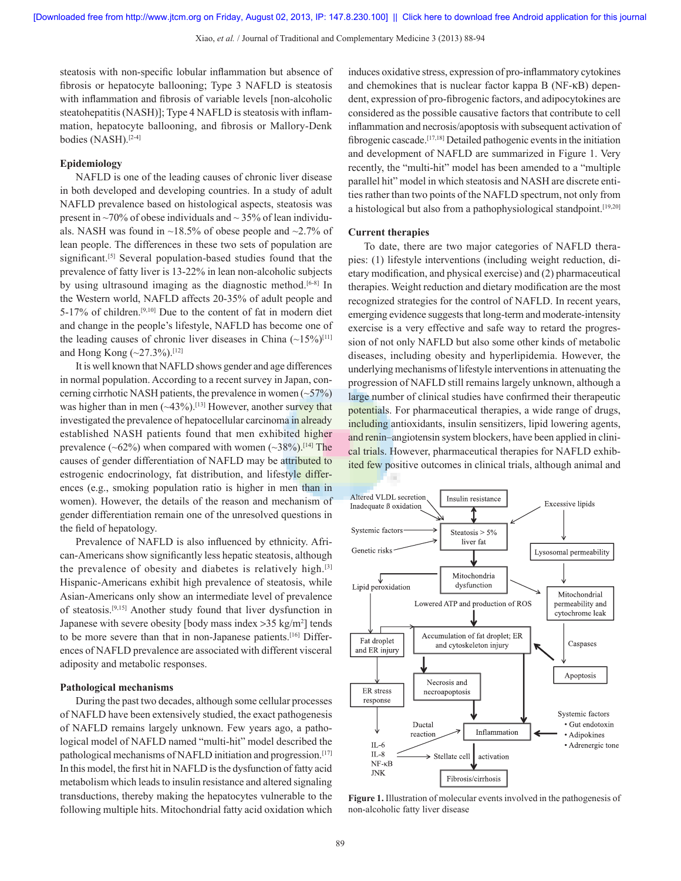steatosis with non‑specific lobular inflammation but absence of fibrosis or hepatocyte ballooning; Type 3 NAFLD is steatosis with inflammation and fibrosis of variable levels [non-alcoholic steatohepatitis (NASH)]; Type 4 NAFLD is steatosis with inflammation, hepatocyte ballooning, and fibrosis or Mallory-Denk bodies (NASH).<sup>[2-4]</sup>

### **Epidemiology**

NAFLD is one of the leading causes of chronic liver disease in both developed and developing countries. In a study of adult NAFLD prevalence based on histological aspects, steatosis was present in  $\sim$ 70% of obese individuals and  $\sim$  35% of lean individuals. NASH was found in  $\sim$ 18.5% of obese people and  $\sim$ 2.7% of lean people. The differences in these two sets of population are significant.<sup>[5]</sup> Several population-based studies found that the prevalence of fatty liver is 13-22% in lean non‑alcoholic subjects by using ultrasound imaging as the diagnostic method.<sup>[6-8]</sup> In the Western world, NAFLD affects 20-35% of adult people and 5-17% of children.[9,10] Due to the content of fat in modern diet and change in the people's lifestyle, NAFLD has become one of the leading causes of chronic liver diseases in China  $(\sim 15\%)^{[11]}$ and Hong Kong  $({\sim}27.3\%)$ .<sup>[12]</sup>

It is well known that NAFLD shows gender and age differences in normal population. According to a recent survey in Japan, concerning cirrhotic NASH patients, the prevalence in women  $(\sim 57\%)$ was higher than in men  $(\sim 43\%)$ .<sup>[13]</sup> However, another survey that investigated the prevalence of hepatocellular carcinoma in already established NASH patients found that men exhibited higher prevalence ( $\sim 62\%$ ) when compared with women ( $\sim 38\%$ ).<sup>[14]</sup> The causes of gender differentiation of NAFLD may be attributed to estrogenic endocrinology, fat distribution, and lifestyle differences (e.g., smoking population ratio is higher in men than in women). However, the details of the reason and mechanism of gender differentiation remain one of the unresolved questions in the field of hepatology.

Prevalence of NAFLD is also influenced by ethnicity. African‑Americans show significantly less hepatic steatosis, although the prevalence of obesity and diabetes is relatively high.[3] Hispanic-Americans exhibit high prevalence of steatosis, while Asian‑Americans only show an intermediate level of prevalence of steatosis.[9,15] Another study found that liver dysfunction in Japanese with severe obesity [body mass index >35 kg/m2 ] tends to be more severe than that in non-Japanese patients.<sup>[16]</sup> Differences of NAFLD prevalence are associated with different visceral adiposity and metabolic responses.

#### **Pathological mechanisms**

During the past two decades, although some cellular processes of NAFLD have been extensively studied, the exact pathogenesis of NAFLD remains largely unknown. Few years ago, a pathological model of NAFLD named "multi-hit" model described the pathological mechanisms of NAFLD initiation and progression.<sup>[17]</sup> In this model, the first hit in NAFLD is the dysfunction of fatty acid metabolism which leads to insulin resistance and altered signaling transductions, thereby making the hepatocytes vulnerable to the following multiple hits. Mitochondrial fatty acid oxidation which induces oxidative stress, expression of pro‑inflammatory cytokines and chemokines that is nuclear factor kappa Β (NF-κB) dependent, expression of pro‑fibrogenic factors, and adipocytokines are considered as the possible causative factors that contribute to cell inflammation and necrosis/apoptosis with subsequent activation of fibrogenic cascade.[17,18] Detailed pathogenic events in the initiation and development of NAFLD are summarized in Figure 1. Very recently, the "multi-hit" model has been amended to a "multiple parallel hit" model in which steatosis and NASH are discrete entities rather than two points of the NAFLD spectrum, not only from a histological but also from a pathophysiological standpoint.<sup>[19,20]</sup>

### **Current therapies**

To date, there are two major categories of NAFLD therapies: (1) lifestyle interventions (including weight reduction, dietary modification, and physical exercise) and (2) pharmaceutical therapies. Weight reduction and dietary modification are the most recognized strategies for the control of NAFLD. In recent years, emerging evidence suggests that long-term and moderate-intensity exercise is a very effective and safe way to retard the progression of not only NAFLD but also some other kinds of metabolic diseases, including obesity and hyperlipidemia. However, the underlying mechanisms of lifestyle interventions in attenuating the progression of NAFLD still remains largely unknown, although a large number of clinical studies have confirmed their therapeutic potentials. For pharmaceutical therapies, a wide range of drugs, including antioxidants, insulin sensitizers, lipid lowering agents, and renin–angiotensin system blockers, have been applied in clini– cal trials. However, pharmaceutical therapies for NAFLD exhibited few positive outcomes in clinical trials, although animal and



**Figure 1.** Illustration of molecular events involved in the pathogenesis of non‑alcoholic fatty liver disease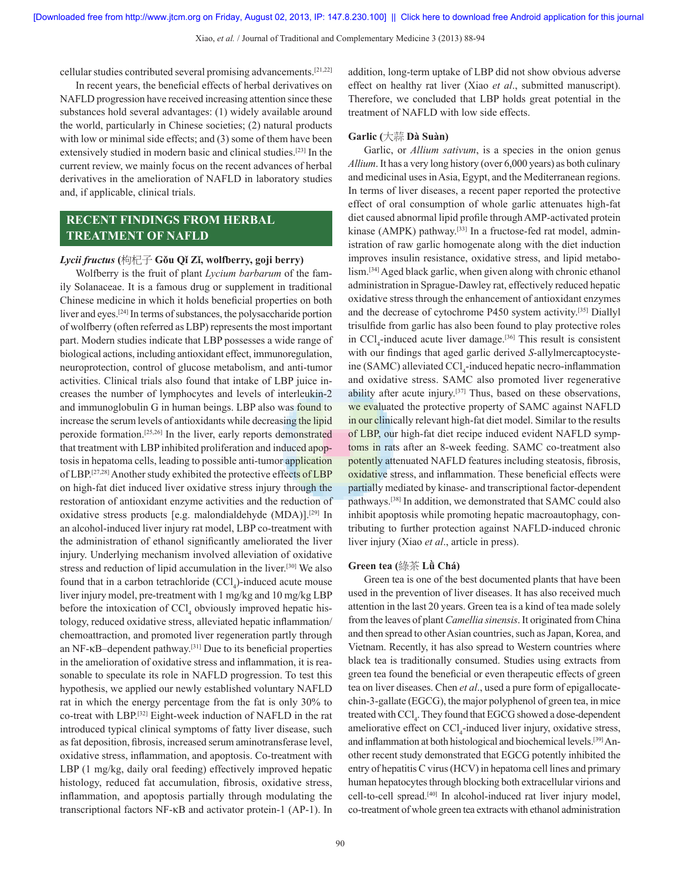cellular studies contributed several promising advancements.[21,22]

In recent years, the beneficial effects of herbal derivatives on NAFLD progression have received increasing attention since these substances hold several advantages: (1) widely available around the world, particularly in Chinese societies; (2) natural products with low or minimal side effects; and (3) some of them have been extensively studied in modern basic and clinical studies.[23] In the current review, we mainly focus on the recent advances of herbal derivatives in the amelioration of NAFLD in laboratory studies and, if applicable, clinical trials.

# **RECENT FINDINGS FROM HERBAL TREATMENT OF NAFLD**

### *Lycii fructus* **(**枸杞子 **Gǒu Qǐ Zǐ, wolfberry, goji berry)**

Wolfberry is the fruit of plant *Lycium barbarum* of the family Solanaceae. It is a famous drug or supplement in traditional Chinese medicine in which it holds beneficial properties on both liver and eyes.[24] In terms of substances, the polysaccharide portion of wolfberry (often referred as LBP) represents the most important part. Modern studies indicate that LBP possesses a wide range of biological actions, including antioxidant effect, immunoregulation, neuroprotection, control of glucose metabolism, and anti-tumor activities. Clinical trials also found that intake of LBP juice increases the number of lymphocytes and levels of interleukin‑2 and immunoglobulin G in human beings. LBP also was found to increase the serum levels of antioxidants while decreasing the lipid peroxide formation.[25,26] In the liver, early reports demonstrated that treatment with LBP inhibited proliferation and induced apoptosis in hepatoma cells, leading to possible anti‑tumor application of LBP.[27,28] Another study exhibited the protective effects of LBP on high-fat diet induced liver oxidative stress injury through the restoration of antioxidant enzyme activities and the reduction of oxidative stress products [e.g. malondialdehyde (MDA)].[29] In an alcohol-induced liver injury rat model, LBP co-treatment with the administration of ethanol significantly ameliorated the liver injury. Underlying mechanism involved alleviation of oxidative stress and reduction of lipid accumulation in the liver.[30] We also found that in a carbon tetrachloride  $(CCl<sub>4</sub>)$ -induced acute mouse liver injury model, pre-treatment with 1 mg/kg and 10 mg/kg LBP before the intoxication of  $\text{CCl}_4$  obviously improved hepatic histology, reduced oxidative stress, alleviated hepatic inflammation/ chemoattraction, and promoted liver regeneration partly through an NF‑κB–dependent pathway.[31] Due to its beneficial properties in the amelioration of oxidative stress and inflammation, it is reasonable to speculate its role in NAFLD progression. To test this hypothesis, we applied our newly established voluntary NAFLD rat in which the energy percentage from the fat is only 30% to co-treat with LBP.<sup>[32]</sup> Eight-week induction of NAFLD in the rat introduced typical clinical symptoms of fatty liver disease, such as fat deposition, fibrosis, increased serum aminotransferase level, oxidative stress, inflammation, and apoptosis. Co-treatment with LBP (1 mg/kg, daily oral feeding) effectively improved hepatic histology, reduced fat accumulation, fibrosis, oxidative stress, inflammation, and apoptosis partially through modulating the transcriptional factors NF‑κB and activator protein‑1 (AP‑1). In

addition, long‑term uptake of LBP did not show obvious adverse effect on healthy rat liver (Xiao *et al*., submitted manuscript). Therefore, we concluded that LBP holds great potential in the treatment of NAFLD with low side effects.

### **Garlic (**大蒜 **Dà Suàn)**

Garlic, or *Allium sativum*, is a species in the onion genus *Allium*. It has a very long history (over 6,000 years) as both culinary and medicinal uses in Asia, Egypt, and the Mediterranean regions. In terms of liver diseases, a recent paper reported the protective effect of oral consumption of whole garlic attenuates high-fat diet caused abnormal lipid profile through AMP‑activated protein kinase (AMPK) pathway.<sup>[33]</sup> In a fructose-fed rat model, administration of raw garlic homogenate along with the diet induction improves insulin resistance, oxidative stress, and lipid metabolism.[34] Aged black garlic, when given along with chronic ethanol administration in Sprague‑Dawley rat, effectively reduced hepatic oxidative stress through the enhancement of antioxidant enzymes and the decrease of cytochrome P450 system activity.[35] Diallyl trisulfide from garlic has also been found to play protective roles in  $\text{CCl}_4$ -induced acute liver damage.<sup>[36]</sup> This result is consistent with our findings that aged garlic derived *S*-allylmercaptocysteine (SAMC) alleviated CCl<sub>4</sub>-induced hepatic necro-inflammation and oxidative stress. SAMC also promoted liver regenerative ability after acute injury.[37] Thus, based on these observations, we evaluated the protective property of SAMC against NAFLD in our clinically relevant high-fat diet model. Similar to the results of LBP, our high-fat diet recipe induced evident NAFLD symptoms in rats after an 8-week feeding. SAMC co-treatment also potently attenuated NAFLD features including steatosis, fibrosis, oxidative stress, and inflammation. These beneficial effects were partially mediated by kinase- and transcriptional factor-dependent pathways.[38] In addition, we demonstrated that SAMC could also inhibit apoptosis while promoting hepatic macroautophagy, contributing to further protection against NAFLD‑induced chronic liver injury (Xiao *et al*., article in press).

### **Green tea (**綠茶 **Lǜ Chá)**

Green tea is one of the best documented plants that have been used in the prevention of liver diseases. It has also received much attention in the last 20 years. Green tea is a kind of tea made solely from the leaves of plant *Camellia sinensis*. It originated from China and then spread to other Asian countries, such as Japan, Korea, and Vietnam. Recently, it has also spread to Western countries where black tea is traditionally consumed. Studies using extracts from green tea found the beneficial or even therapeutic effects of green tea on liver diseases. Chen *et al.*, used a pure form of epigallocatechin‑3‑gallate (EGCG), the major polyphenol of green tea, in mice treated with CCl<sub>4</sub>. They found that EGCG showed a dose-dependent ameliorative effect on  $\text{CCl}_4$ -induced liver injury, oxidative stress, and inflammation at both histological and biochemical levels.<sup>[39]</sup> Another recent study demonstrated that EGCG potently inhibited the entry of hepatitis C virus(HCV) in hepatoma cell lines and primary human hepatocytes through blocking both extracellular virions and cell-to-cell spread.<sup>[40]</sup> In alcohol-induced rat liver injury model, co‑treatment of whole green tea extracts with ethanol administration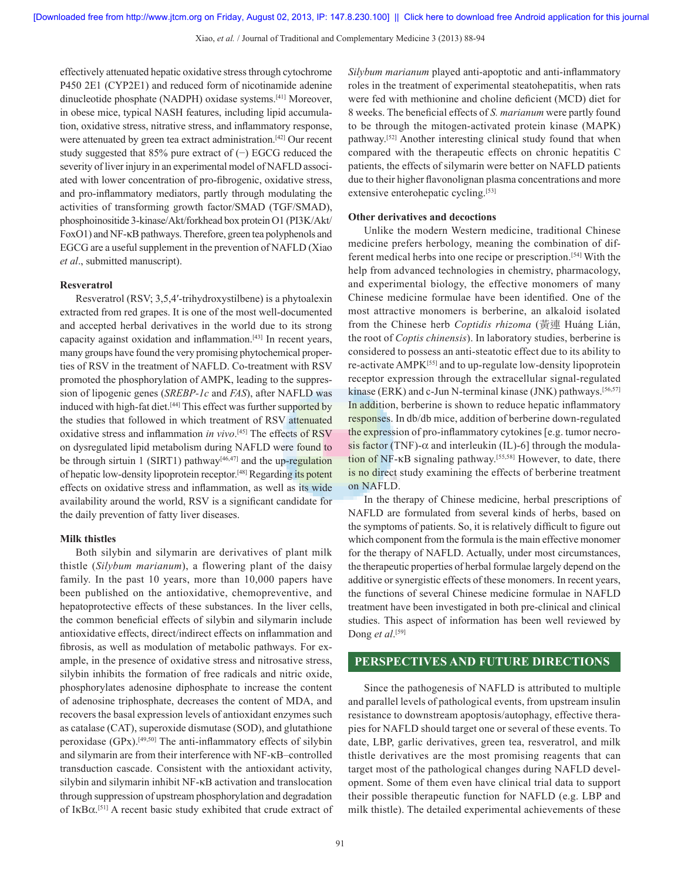effectively attenuated hepatic oxidative stress through cytochrome P450 2E1 (CYP2E1) and reduced form of nicotinamide adenine dinucleotide phosphate (NADPH) oxidase systems.[41] Moreover, in obese mice, typical NASH features, including lipid accumulation, oxidative stress, nitrative stress, and inflammatory response, were attenuated by green tea extract administration.[42] Our recent study suggested that 85% pure extract of (−) EGCG reduced the severity of liver injury in an experimental model of NAFLD associated with lower concentration of pro‑fibrogenic, oxidative stress, and pro‑inflammatory mediators, partly through modulating the activities of transforming growth factor/SMAD (TGF/SMAD), phosphoinositide 3‑kinase/Akt/forkhead box protein O1 (PI3K/Akt/ FoxO1) and NF‑κB pathways. Therefore, green tea polyphenols and EGCG are a useful supplement in the prevention of NAFLD (Xiao *et al*., submitted manuscript).

### **Resveratrol**

Resveratrol (RSV; 3,5,4'-trihydroxystilbene) is a phytoalexin extracted from red grapes. It is one of the most well-documented and accepted herbal derivatives in the world due to its strong capacity against oxidation and inflammation.[43] In recent years, many groups have found the very promising phytochemical properties of RSV in the treatment of NAFLD. Co-treatment with RSV promoted the phosphorylation of AMPK, leading to the suppression of lipogenic genes (*SREBP‑1c* and *FAS*), after NAFLD was induced with high-fat diet.<sup>[44]</sup> This effect was further supported by the studies that followed in which treatment of RSV attenuated oxidative stress and inflammation *in vivo*. [45] The effects of RSV on dysregulated lipid metabolism during NAFLD were found to be through sirtuin 1 (SIRT1) pathway<sup>[46,47]</sup> and the up-regulation of hepatic low-density lipoprotein receptor.<sup>[48]</sup> Regarding its potent effects on oxidative stress and inflammation, as well as its wide availability around the world, RSV is a significant candidate for the daily prevention of fatty liver diseases.

### **Milk thistles**

Both silybin and silymarin are derivatives of plant milk thistle (*Silybum marianum*), a flowering plant of the daisy family. In the past 10 years, more than 10,000 papers have been published on the antioxidative, chemopreventive, and hepatoprotective effects of these substances. In the liver cells, the common beneficial effects of silybin and silymarin include antioxidative effects, direct/indirect effects on inflammation and fibrosis, as well as modulation of metabolic pathways. For example, in the presence of oxidative stress and nitrosative stress, silybin inhibits the formation of free radicals and nitric oxide, phosphorylates adenosine diphosphate to increase the content of adenosine triphosphate, decreases the content of MDA, and recovers the basal expression levels of antioxidant enzymes such as catalase (CAT), superoxide dismutase (SOD), and glutathione peroxidase (GPx).<sup>[49,50]</sup> The anti-inflammatory effects of silybin and silymarin are from their interference with NF‑κB–controlled transduction cascade. Consistent with the antioxidant activity, silybin and silymarin inhibit NF‑κB activation and translocation through suppression of upstream phosphorylation and degradation of IκBα. [51] A recent basic study exhibited that crude extract of *Silybum marianum* played anti‑apoptotic and anti‑inflammatory roles in the treatment of experimental steatohepatitis, when rats were fed with methionine and choline deficient (MCD) diet for 8 weeks. The beneficial effects of *S. marianum* were partly found to be through the mitogen‑activated protein kinase (MAPK) pathway.[52] Another interesting clinical study found that when compared with the therapeutic effects on chronic hepatitis C patients, the effects of silymarin were better on NAFLD patients due to their higher flavonolignan plasma concentrations and more extensive enterohepatic cycling.[53]

### **Other derivatives and decoctions**

Unlike the modern Western medicine, traditional Chinese medicine prefers herbology, meaning the combination of different medical herbs into one recipe or prescription.[54] With the help from advanced technologies in chemistry, pharmacology, and experimental biology, the effective monomers of many Chinese medicine formulae have been identified. One of the most attractive monomers is berberine, an alkaloid isolated from the Chinese herb *Coptidis rhizoma* (黃連 Huáng Lián, the root of *Coptis chinensis*). In laboratory studies, berberine is considered to possess an anti‑steatotic effect due to its ability to re-activate AMPK<sup>[55]</sup> and to up-regulate low-density lipoprotein receptor expression through the extracellular signal-regulated kinase (ERK) and c-Jun N-terminal kinase (JNK) pathways.<sup>[56,57]</sup> In addition, berberine is shown to reduce hepatic inflammatory responses. In db/db mice, addition of berberine down-regulated the expression of pro-inflammatory cytokines [e.g. tumor necrosis factor (TNF)- $\alpha$  and interleukin (IL)-6] through the modulation of NF-κB signaling pathway.<sup>[55,58]</sup> However, to date, there is no direct study examining the effects of berberine treatment on NAFLD.

In the therapy of Chinese medicine, herbal prescriptions of NAFLD are formulated from several kinds of herbs, based on the symptoms of patients. So, it is relatively difficult to figure out which component from the formula is the main effective monomer for the therapy of NAFLD. Actually, under most circumstances, the therapeutic properties of herbal formulae largely depend on the additive or synergistic effects of these monomers. In recent years, the functions of several Chinese medicine formulae in NAFLD treatment have been investigated in both pre‑clinical and clinical studies. This aspect of information has been well reviewed by Dong *et al*. [59]

## **PERSPECTIVES AND FUTURE DIRECTIONS**

Since the pathogenesis of NAFLD is attributed to multiple and parallel levels of pathological events, from upstream insulin resistance to downstream apoptosis/autophagy, effective therapies for NAFLD should target one or several of these events. To date, LBP, garlic derivatives, green tea, resveratrol, and milk thistle derivatives are the most promising reagents that can target most of the pathological changes during NAFLD development. Some of them even have clinical trial data to support their possible therapeutic function for NAFLD (e.g. LBP and milk thistle). The detailed experimental achievements of these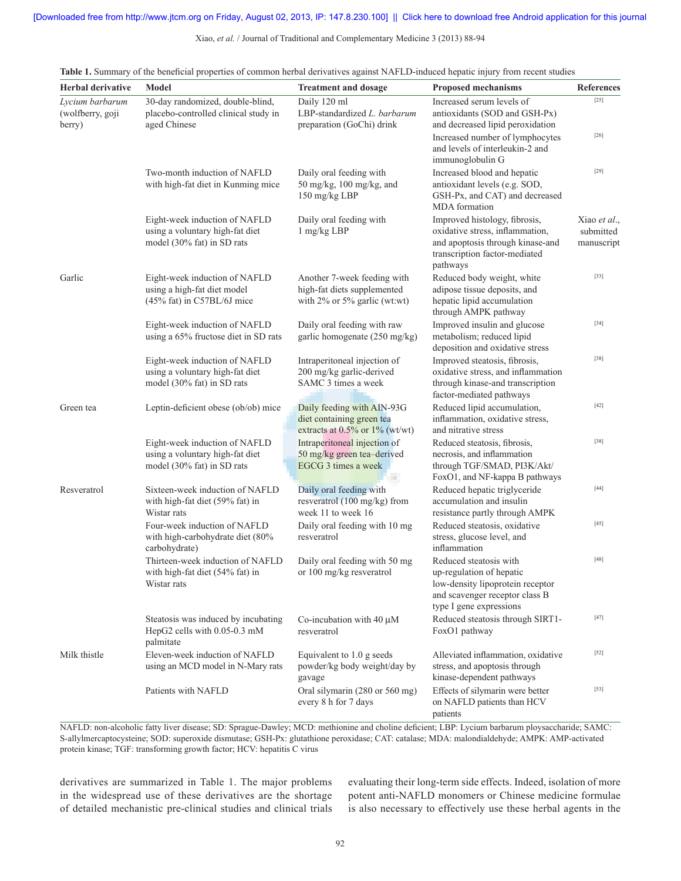Xiao, *et al.* / Journal of Traditional and Complementary Medicine 3 (2013) 88‑94

| <b>Herbal derivative</b>                      | Model                                                                                                 | <b>Treatment and dosage</b>                                                                | <b>Proposed mechanisms</b>                                                                                                                          | <b>References</b>                       |
|-----------------------------------------------|-------------------------------------------------------------------------------------------------------|--------------------------------------------------------------------------------------------|-----------------------------------------------------------------------------------------------------------------------------------------------------|-----------------------------------------|
| Lycium barbarum<br>(wolfberry, goji<br>berry) | 30-day randomized, double-blind,<br>placebo-controlled clinical study in<br>aged Chinese              | Daily 120 ml<br>LBP-standardized L. barbarum<br>preparation (GoChi) drink                  | Increased serum levels of<br>antioxidants (SOD and GSH-Px)<br>and decreased lipid peroxidation                                                      | $[25]$                                  |
|                                               |                                                                                                       |                                                                                            | Increased number of lymphocytes<br>and levels of interleukin-2 and<br>immunoglobulin G                                                              | $[26]$                                  |
|                                               | Two-month induction of NAFLD<br>with high-fat diet in Kunming mice                                    | Daily oral feeding with<br>50 mg/kg, $100$ mg/kg, and<br>150 mg/kg LBP                     | Increased blood and hepatic<br>antioxidant levels (e.g. SOD,<br>GSH-Px, and CAT) and decreased<br><b>MDA</b> formation                              | $[29]$                                  |
|                                               | Eight-week induction of NAFLD<br>using a voluntary high-fat diet<br>model (30% fat) in SD rats        | Daily oral feeding with<br>$1$ mg/kg LBP                                                   | Improved histology, fibrosis,<br>oxidative stress, inflammation,<br>and apoptosis through kinase-and<br>transcription factor-mediated<br>pathways   | Xiao et al.,<br>submitted<br>manuscript |
| Garlic                                        | Eight-week induction of NAFLD<br>using a high-fat diet model<br>$(45\% \text{ fat})$ in C57BL/6J mice | Another 7-week feeding with<br>high-fat diets supplemented<br>with 2% or 5% garlic (wt:wt) | Reduced body weight, white<br>adipose tissue deposits, and<br>hepatic lipid accumulation<br>through AMPK pathway                                    | $[33]$                                  |
|                                               | Eight-week induction of NAFLD<br>using a 65% fructose diet in SD rats                                 | Daily oral feeding with raw<br>garlic homogenate (250 mg/kg)                               | Improved insulin and glucose<br>metabolism; reduced lipid<br>deposition and oxidative stress                                                        | $[34]$                                  |
|                                               | Eight-week induction of NAFLD<br>using a voluntary high-fat diet<br>model (30% fat) in SD rats        | Intraperitoneal injection of<br>200 mg/kg garlic-derived<br>SAMC 3 times a week            | Improved steatosis, fibrosis,<br>oxidative stress, and inflammation<br>through kinase-and transcription<br>factor-mediated pathways                 | $[38]$                                  |
| Green tea                                     | Leptin-deficient obese (ob/ob) mice                                                                   | Daily feeding with AIN-93G<br>diet containing green tea<br>extracts at 0.5% or 1% (wt/wt)  | Reduced lipid accumulation,<br>inflammation, oxidative stress,<br>and nitrative stress                                                              | $[42]$                                  |
|                                               | Eight-week induction of NAFLD<br>using a voluntary high-fat diet<br>model (30% fat) in SD rats        | Intraperitoneal injection of<br>50 mg/kg green tea-derived<br>EGCG 3 times a week          | Reduced steatosis, fibrosis,<br>necrosis, and inflammation<br>through TGF/SMAD, PI3K/Akt/<br>FoxO1, and NF-kappa B pathways                         | $[38]$                                  |
| Resveratrol                                   | Sixteen-week induction of NAFLD<br>with high-fat diet (59% fat) in<br>Wistar rats                     | Daily oral feeding with<br>resveratrol (100 mg/kg) from<br>week 11 to week 16              | Reduced hepatic triglyceride<br>accumulation and insulin<br>resistance partly through AMPK                                                          | $[44]$                                  |
|                                               | Four-week induction of NAFLD<br>with high-carbohydrate diet (80%<br>carbohydrate)                     | Daily oral feeding with 10 mg<br>resveratrol                                               | Reduced steatosis, oxidative<br>stress, glucose level, and<br>inflammation                                                                          | $[45]$                                  |
|                                               | Thirteen-week induction of NAFLD<br>with high-fat diet (54% fat) in<br>Wistar rats                    | Daily oral feeding with 50 mg<br>or 100 mg/kg resveratrol                                  | Reduced steatosis with<br>up-regulation of hepatic<br>low-density lipoprotein receptor<br>and scavenger receptor class B<br>type I gene expressions | $[48]$                                  |
|                                               | Steatosis was induced by incubating<br>HepG2 cells with 0.05-0.3 mM<br>palmitate                      | Co-incubation with 40 $\mu$ M<br>resveratrol                                               | Reduced steatosis through SIRT1-<br>FoxO1 pathway                                                                                                   | $[47]$                                  |
| Milk thistle                                  | Eleven-week induction of NAFLD<br>using an MCD model in N-Mary rats                                   | Equivalent to 1.0 g seeds<br>powder/kg body weight/day by<br>gavage                        | Alleviated inflammation, oxidative<br>stress, and apoptosis through<br>kinase-dependent pathways                                                    | $[52]$                                  |
|                                               | Patients with NAFLD                                                                                   | Oral silymarin (280 or 560 mg)<br>every 8 h for 7 days                                     | Effects of silymarin were better<br>on NAFLD patients than HCV<br>patients                                                                          | $[53]$                                  |

**Table 1.** Summary of the beneficial properties of common herbal derivatives against NAFLD-induced hepatic injury from recent studies

NAFLD: non-alcoholic fatty liver disease; SD: Sprague-Dawley; MCD: methionine and choline deficient; LBP: Lycium barbarum ploysaccharide; SAMC: S-allylmercaptocysteine; SOD: superoxide dismutase; GSH‑Px: glutathione peroxidase; CAT: catalase; MDA: malondialdehyde; AMPK: AMP-activated protein kinase; TGF: transforming growth factor; HCV: hepatitis C virus

derivatives are summarized in Table 1. The major problems in the widespread use of these derivatives are the shortage of detailed mechanistic pre‑clinical studies and clinical trials evaluating their long-term side effects. Indeed, isolation of more potent anti‑NAFLD monomers or Chinese medicine formulae is also necessary to effectively use these herbal agents in the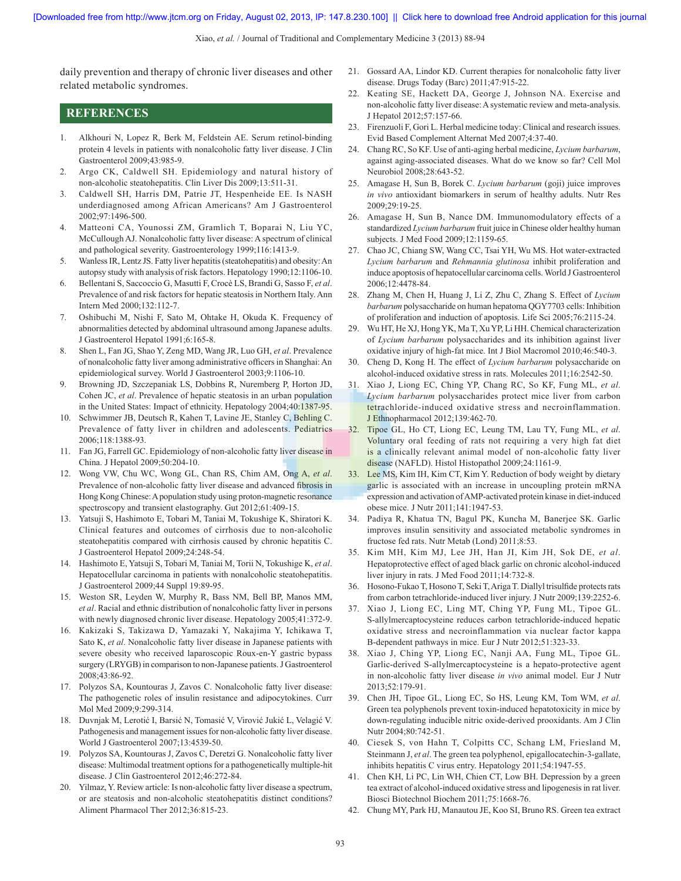Xiao, *et al.* / Journal of Traditional and Complementary Medicine 3 (2013) 88‑94

daily prevention and therapy of chronic liver diseases and other related metabolic syndromes.

- **REFERENCES**
- 1. Alkhouri N, Lopez R, Berk M, Feldstein AE. Serum retinol-binding protein 4 levels in patients with nonalcoholic fatty liver disease. J Clin Gastroenterol 2009;43:985‑9.
- 2. Argo CK, Caldwell SH. Epidemiology and natural history of non‑alcoholic steatohepatitis. Clin Liver Dis 2009;13:511‑31.
- 3. Caldwell SH, Harris DM, Patrie JT, Hespenheide EE. Is NASH underdiagnosed among African Americans? Am J Gastroenterol 2002;97:1496‑500.
- 4. Matteoni CA, Younossi ZM, Gramlich T, Boparai N, Liu YC, McCullough AJ. Nonalcoholic fatty liver disease: A spectrum of clinical and pathological severity. Gastroenterology 1999;116:1413-9.
- 5. WanlessIR, Lentz JS. Fatty liver hepatitis(steatohepatitis) and obesity: An autopsy study with analysis of risk factors. Hepatology 1990;12:1106‑10.
- 6. Bellentani S, Saccoccio G, Masutti F, Crocè LS, Brandi G, Sasso F, *et al*. Prevalence of and risk factors for hepatic steatosis in Northern Italy. Ann Intern Med 2000;132:112‑7.
- 7. Oshibuchi M, Nishi F, Sato M, Ohtake H, Okuda K. Frequency of abnormalities detected by abdominal ultrasound among Japanese adults. J Gastroenterol Hepatol 1991;6:165‑8.
- 8. Shen L, Fan JG, Shao Y, Zeng MD, Wang JR, Luo GH, *et al*. Prevalence of nonalcoholic fatty liver among administrative officers in Shanghai: An epidemiological survey. World J Gastroenterol 2003;9:1106-10.
- 9. Browning JD, Szczepaniak LS, Dobbins R, Nuremberg P, Horton JD, Cohen JC, *et al*. Prevalence of hepatic steatosis in an urban population in the United States: Impact of ethnicity. Hepatology 2004;40:1387‑95.
- 10. Schwimmer JB, Deutsch R, Kahen T, Lavine JE, Stanley C, Behling C. Prevalence of fatty liver in children and adolescents. Pediatrics 2006;118:1388‑93.
- 11. Fan JG, Farrell GC. Epidemiology of non‑alcoholic fatty liver disease in China. J Hepatol 2009;50:204‑10.
- 12. Wong VW, Chu WC, Wong GL, Chan RS, Chim AM, Ong A, *et al*. Prevalence of non-alcoholic fatty liver disease and advanced fibrosis in Hong Kong Chinese: A population study using proton-magnetic resonance spectroscopy and transient elastography. Gut 2012;61:409-15.
- 13. Yatsuji S, Hashimoto E, Tobari M, Taniai M, Tokushige K, Shiratori K. Clinical features and outcomes of cirrhosis due to non‑alcoholic steatohepatitis compared with cirrhosis caused by chronic hepatitis C. J Gastroenterol Hepatol 2009;24:248‑54.
- 14. Hashimoto E, Yatsuji S, Tobari M, Taniai M, Torii N, Tokushige K, *et al*. Hepatocellular carcinoma in patients with nonalcoholic steatohepatitis. J Gastroenterol 2009;44 Suppl 19:89‑95.
- 15. Weston SR, Leyden W, Murphy R, Bass NM, Bell BP, Manos MM, *et al*. Racial and ethnic distribution of nonalcoholic fatty liver in persons with newly diagnosed chronic liver disease. Hepatology 2005;41:372‑9.
- 16. Kakizaki S, Takizawa D, Yamazaki Y, Nakajima Y, Ichikawa T, Sato K, *et al*. Nonalcoholic fatty liver disease in Japanese patients with severe obesity who received laparoscopic Roux-en-Y gastric bypass surgery (LRYGB) in comparison to non‑Japanese patients. J Gastroenterol 2008;43:86‑92.
- 17. Polyzos SA, Kountouras J, Zavos C. Nonalcoholic fatty liver disease: The pathogenetic roles of insulin resistance and adipocytokines. Curr Mol Med 2009;9:299‑314.
- 18. Duvnjak M, Lerotić I, Barsić N, Tomasić V, Virović Jukić L, Velagić V. Pathogenesis and management issues for non‑alcoholic fatty liver disease. World J Gastroenterol 2007;13:4539-50.
- 19. Polyzos SA, Kountouras J, Zavos C, Deretzi G. Nonalcoholic fatty liver disease: Multimodal treatment options for a pathogenetically multiple‑hit disease. J Clin Gastroenterol 2012;46:272‑84.
- 20. Yilmaz, Y. Review article: Is non-alcoholic fatty liver disease a spectrum, or are steatosis and non‑alcoholic steatohepatitis distinct conditions? Aliment Pharmacol Ther 2012;36:815‑23.
- 21. Gossard AA, Lindor KD. Current therapies for nonalcoholic fatty liver disease. Drugs Today (Barc) 2011;47:915‑22.
- 22. Keating SE, Hackett DA, George J, Johnson NA. Exercise and non-alcoholic fatty liver disease: A systematic review and meta-analysis. J Hepatol 2012;57:157‑66.
- 23. Firenzuoli F, Gori L. Herbal medicine today: Clinical and research issues. Evid Based Complement Alternat Med 2007;4:37‑40.
- 24. Chang RC, So KF. Use of anti‑aging herbal medicine, *Lycium barbarum*, against aging‑associated diseases. What do we know so far? Cell Mol Neurobiol 2008;28:643‑52.
- 25. Amagase H, Sun B, Borek C. *Lycium barbarum* (goji) juice improves *in vivo* antioxidant biomarkers in serum of healthy adults. Nutr Res 2009;29:19‑25.
- 26. Amagase H, Sun B, Nance DM. Immunomodulatory effects of a standardized *Lycium barbarum* fruit juice in Chinese older healthy human subjects. J Med Food 2009;12:1159‑65.
- 27. Chao JC, Chiang SW, Wang CC, Tsai YH, Wu MS. Hot water‑extracted *Lycium barbarum* and *Rehmannia glutinosa* inhibit proliferation and induce apoptosis of hepatocellular carcinoma cells. World J Gastroenterol 2006;12:4478‑84.
- 28. Zhang M, Chen H, Huang J, Li Z, Zhu C, Zhang S. Effect of *Lycium barbarum* polysaccharide on human hepatoma QGY7703 cells: Inhibition of proliferation and induction of apoptosis. Life Sci 2005;76:2115-24.
- 29. Wu HT, He XJ, HongYK, MaT, XuYP, Li HH. Chemical characterization of *Lycium barbarum* polysaccharides and its inhibition against liver oxidative injury of high-fat mice. Int J Biol Macromol 2010;46:540-3.
- 30. Cheng D, Kong H. The effect of *Lycium barbarum* polysaccharide on alcohol‑induced oxidative stress in rats. Molecules 2011;16:2542‑50.
- 31. Xiao J, Liong EC, Ching YP, Chang RC, So KF, Fung ML, *et al*. *Lycium barbarum* polysaccharides protect mice liver from carbon tetrachloride‑induced oxidative stress and necroinflammation. J Ethnopharmacol 2012;139:462‑70.
- 32. Tipoe GL, Ho CT, Liong EC, Leung TM, Lau TY, Fung ML, *et al*. Voluntary oral feeding of rats not requiring a very high fat diet is a clinically relevant animal model of non-alcoholic fatty liver disease (NAFLD). Histol Histopathol 2009;24:1161-9.
- 33. Lee MS, Kim IH, Kim CT, Kim Y. Reduction of body weight by dietary garlic is associated with an increase in uncoupling protein mRNA expression and activation of AMP-activated protein kinase in diet-induced obese mice. J Nutr 2011;141:1947‑53.
- 34. Padiya R, Khatua TN, Bagul PK, Kuncha M, Banerjee SK. Garlic improves insulin sensitivity and associated metabolic syndromes in fructose fed rats. Nutr Metab (Lond) 2011;8:53.
- 35. Kim MH, Kim MJ, Lee JH, Han JI, Kim JH, Sok DE, *et al*. Hepatoprotective effect of aged black garlic on chronic alcohol-induced liver injury in rats. J Med Food 2011;14:732‑8.
- 36. Hosono‑Fukao T, HosonoT, SekiT, ArigaT. Diallyl trisulfide protects rats from carbon tetrachloride-induced liver injury. J Nutr 2009;139:2252-6.
- 37. Xiao J, Liong EC, Ling MT, Ching YP, Fung ML, Tipoe GL. S-allylmercaptocysteine reduces carbon tetrachloride-induced hepatic oxidative stress and necroinflammation via nuclear factor kappa B-dependent pathways in mice. Eur J Nutr 2012;51:323-33.
- 38. Xiao J, Ching YP, Liong EC, Nanji AA, Fung ML, Tipoe GL. Garlic-derived S-allylmercaptocysteine is a hepato-protective agent in non‑alcoholic fatty liver disease *in vivo* animal model. Eur J Nutr 2013;52:179‑91.
- 39. Chen JH, Tipoe GL, Liong EC, So HS, Leung KM, Tom WM, *et al*. Green tea polyphenols prevent toxin‑induced hepatotoxicity in mice by down-regulating inducible nitric oxide-derived prooxidants. Am J Clin Nutr 2004;80:742-51.
- 40. Ciesek S, von Hahn T, Colpitts CC, Schang LM, Friesland M, Steinmann J, et al. The green tea polyphenol, epigallocatechin-3-gallate, inhibits hepatitis C virus entry. Hepatology 2011;54:1947‑55.
- 41. Chen KH, Li PC, Lin WH, Chien CT, Low BH. Depression by a green tea extract of alcohol-induced oxidative stress and lipogenesis in rat liver. Biosci Biotechnol Biochem 2011;75:1668-76.
- 42. Chung MY, Park HJ, Manautou JE, Koo SI, Bruno RS. Green tea extract